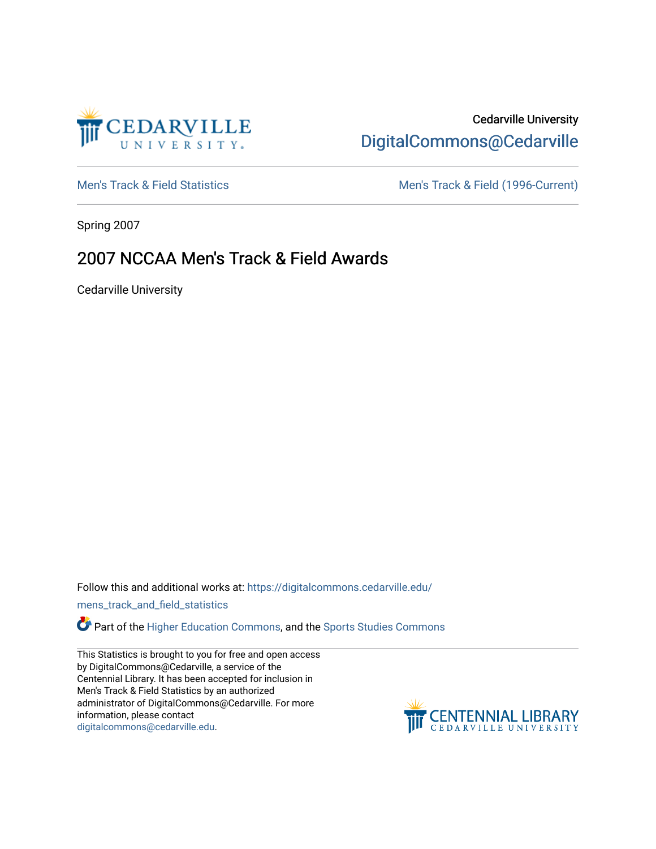

# Cedarville University [DigitalCommons@Cedarville](https://digitalcommons.cedarville.edu/)

[Men's Track & Field Statistics](https://digitalcommons.cedarville.edu/mens_track_and_field_statistics) [Men's Track & Field \(1996-Current\)](https://digitalcommons.cedarville.edu/mens_track_and_field) 

Spring 2007

# 2007 NCCAA Men's Track & Field Awards

Cedarville University

Follow this and additional works at: [https://digitalcommons.cedarville.edu/](https://digitalcommons.cedarville.edu/mens_track_and_field_statistics?utm_source=digitalcommons.cedarville.edu%2Fmens_track_and_field_statistics%2F167&utm_medium=PDF&utm_campaign=PDFCoverPages)

[mens\\_track\\_and\\_field\\_statistics](https://digitalcommons.cedarville.edu/mens_track_and_field_statistics?utm_source=digitalcommons.cedarville.edu%2Fmens_track_and_field_statistics%2F167&utm_medium=PDF&utm_campaign=PDFCoverPages)

Part of the [Higher Education Commons,](http://network.bepress.com/hgg/discipline/1245?utm_source=digitalcommons.cedarville.edu%2Fmens_track_and_field_statistics%2F167&utm_medium=PDF&utm_campaign=PDFCoverPages) and the Sports Studies Commons

This Statistics is brought to you for free and open access by DigitalCommons@Cedarville, a service of the Centennial Library. It has been accepted for inclusion in Men's Track & Field Statistics by an authorized administrator of DigitalCommons@Cedarville. For more information, please contact [digitalcommons@cedarville.edu](mailto:digitalcommons@cedarville.edu).

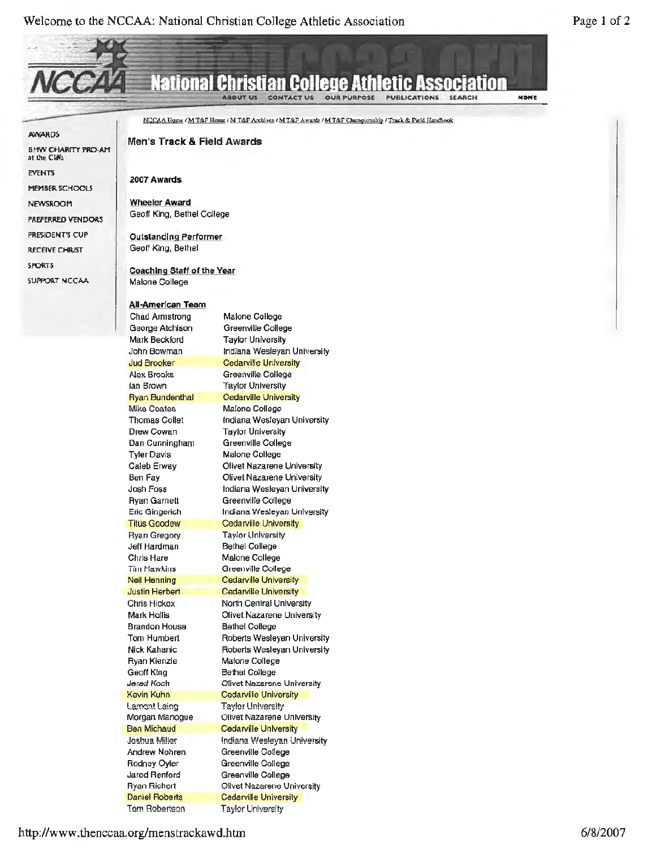**NONE** 

#### National Christian Association SEARCH **ABOUT US**

**OUR PURPOSE PUBLICATIONS CONTACT US** 

-- AWARDS.

at the Cliffs EVENTS

MEMBER SCHOOLS NEWSROOM

PREFERRED VENDORS **PRESIDENT'S CUP RECEIVE CHRIST** SPORT'S

SUl'PORT NCCAA

NCCAA Home / M T&F Home / M T&F Archives / M T&F Awards / M T&F Championship / Track & Field Handbook

BMW CHARITY PRO-AM **Men's Track** & **Field Awards** 

**2007 Awards** 

**Wheeler Award**  Geoff King, Bethel College

**Outstanding Performer**  Geoff King, Bethel

**Coaching Staff of the Year**  Malone College

### **All-American Team**

Chad Armstrong George Atchison Mark Beckford John Bowman Jud Brooker Alex Brooks Ian Brown Ryan Bundenthal Mike Coates Thomas Collet Drew Cowan Dan Cunningham Tyler Davis Caleb Erway Ben Fay Josh Foss Ryan Garnett Eric Gingerich Titus Goodew Ryan Gregory Jeff Hardman Chris Hare Tim Hawkins Neil Henning Justin Herbert Chris Hickox Mark Hollis Brandon House Tom Humbert Nick Kahanic Ryan Kienzle Geoff King Jerad Koch Kevin Kuhn Lamont Laing Morgan Manogue Ben Michaud Joshua Miller Andrew Nohren Rodney Oyler Jarod Renford Ryan Richert Daniel Roberts Tom Robertson Malone College Greenville College Taylor University Indiana Wesleyan University Cedarville University Greenville College Taylor University Cedarville University Malone College Indiana Wesleyan University Taylor University Greenville College Malone College Olivet Nazarene University Olivet Nazarene University Indiana Wesleyan University Greenville College Indiana Wesleyan University Cedarville University Taylor University Bethel College Malone College Greenville College Cedarville University Cedarville University North Central University Olivet Nazarene University Bethel College Roberts Wesleyan University Roberts Wesleyan University Malone College Bethel College Olivet Nazarene University Cedarville University Taylor University Olivet Nazarene University Cedarville University Indiana Wesleyan University Greenville College Greenville College Greenville College Olivet Nazarene University Cedarville University Taylor University

http://www.thenccaa.org/menstrackawd.htm